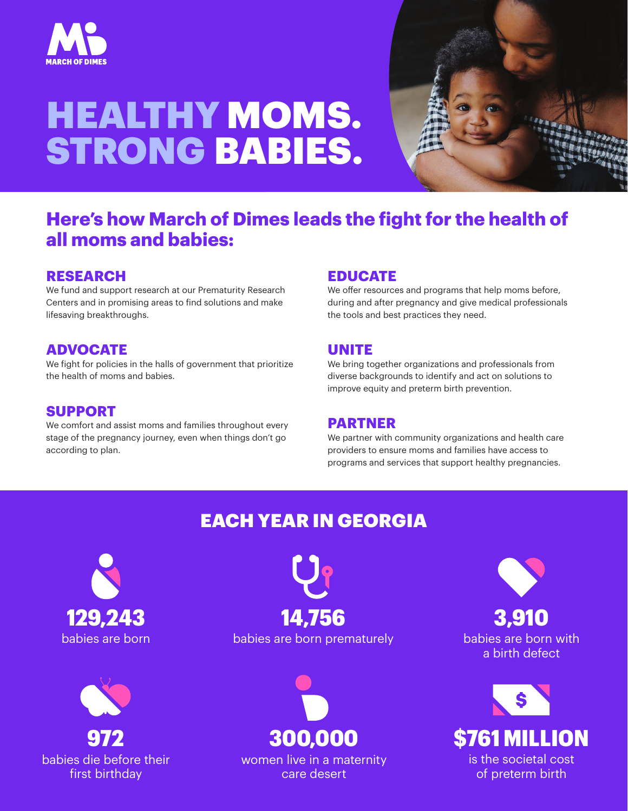

# HEALTHY MOMS. STRONG BABIES.



## **Here's how March of Dimes leads the fight for the health of all moms and babies:**

### **RESEARCH**

We fund and support research at our Prematurity Research Centers and in promising areas to find solutions and make lifesaving breakthroughs.

### **ADVOCATE**

We fight for policies in the halls of government that prioritize the health of moms and babies.

#### **SUPPORT**

We comfort and assist moms and families throughout every stage of the pregnancy journey, even when things don't go according to plan.

### **EDUCATE**

We offer resources and programs that help moms before, during and after pregnancy and give medical professionals the tools and best practices they need.

### **UNITE**

We bring together organizations and professionals from diverse backgrounds to identify and act on solutions to improve equity and preterm birth prevention.

#### **PARTNER**

We partner with community organizations and health care providers to ensure moms and families have access to programs and services that support healthy pregnancies.

## EACH YEAR IN GEORGIA





# babies are born babies are born prematurely 129,243 14,756



women live in a maternity care desert

babies are born with a birth defect 3,910



of preterm birth